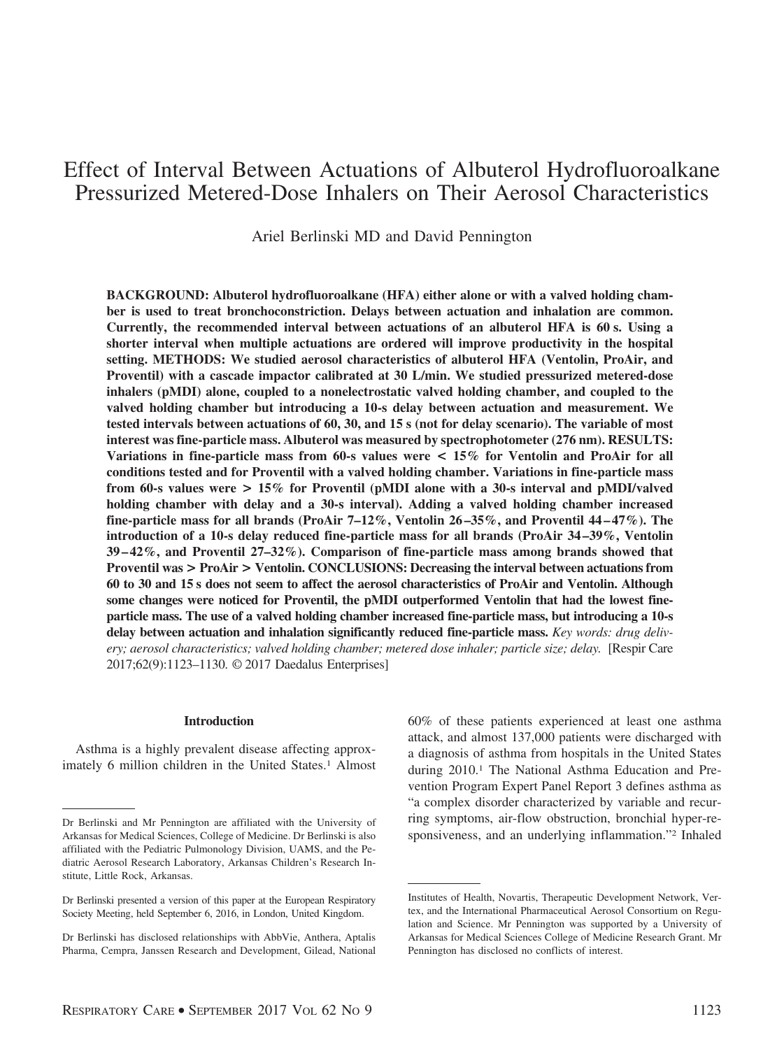# Effect of Interval Between Actuations of Albuterol Hydrofluoroalkane Pressurized Metered-Dose Inhalers on Their Aerosol Characteristics

Ariel Berlinski MD and David Pennington

**BACKGROUND: Albuterol hydrofluoroalkane (HFA) either alone or with a valved holding chamber is used to treat bronchoconstriction. Delays between actuation and inhalation are common. Currently, the recommended interval between actuations of an albuterol HFA is 60 s. Using a shorter interval when multiple actuations are ordered will improve productivity in the hospital setting. METHODS: We studied aerosol characteristics of albuterol HFA (Ventolin, ProAir, and Proventil) with a cascade impactor calibrated at 30 L/min. We studied pressurized metered-dose inhalers (pMDI) alone, coupled to a nonelectrostatic valved holding chamber, and coupled to the valved holding chamber but introducing a 10-s delay between actuation and measurement. We tested intervals between actuations of 60, 30, and 15 s (not for delay scenario). The variable of most interest was fine-particle mass. Albuterol was measured by spectrophotometer (276 nm). RESULTS: Variations in fine-particle mass from 60-s values were < 15% for Ventolin and ProAir for all conditions tested and for Proventil with a valved holding chamber. Variations in fine-particle mass from 60-s values were > 15% for Proventil (pMDI alone with a 30-s interval and pMDI/valved holding chamber with delay and a 30-s interval). Adding a valved holding chamber increased fine-particle mass for all brands (ProAir 7–12%, Ventolin 26 –35%, and Proventil 44 – 47%). The introduction of a 10-s delay reduced fine-particle mass for all brands (ProAir 34 –39%, Ventolin 39 – 42%, and Proventil 27–32%). Comparison of fine-particle mass among brands showed that Proventil was > ProAir > Ventolin. CONCLUSIONS: Decreasing the interval between actuations from 60 to 30 and 15 s does not seem to affect the aerosol characteristics of ProAir and Ventolin. Although some changes were noticed for Proventil, the pMDI outperformed Ventolin that had the lowest fineparticle mass. The use of a valved holding chamber increased fine-particle mass, but introducing a 10-s delay between actuation and inhalation significantly reduced fine-particle mass.** *Key words: drug delivery; aerosol characteristics; valved holding chamber; metered dose inhaler; particle size; delay.* [Respir Care 2017;62(9):1123–1130. © 2017 Daedalus Enterprises]

#### **Introduction**

Asthma is a highly prevalent disease affecting approximately 6 million children in the United States.<sup>1</sup> Almost 60% of these patients experienced at least one asthma attack, and almost 137,000 patients were discharged with a diagnosis of asthma from hospitals in the United States during 2010.1 The National Asthma Education and Prevention Program Expert Panel Report 3 defines asthma as "a complex disorder characterized by variable and recurring symptoms, air-flow obstruction, bronchial hyper-responsiveness, and an underlying inflammation."2 Inhaled

Dr Berlinski and Mr Pennington are affiliated with the University of Arkansas for Medical Sciences, College of Medicine. Dr Berlinski is also affiliated with the Pediatric Pulmonology Division, UAMS, and the Pediatric Aerosol Research Laboratory, Arkansas Children's Research Institute, Little Rock, Arkansas.

Dr Berlinski presented a version of this paper at the European Respiratory Society Meeting, held September 6, 2016, in London, United Kingdom.

Dr Berlinski has disclosed relationships with AbbVie, Anthera, Aptalis Pharma, Cempra, Janssen Research and Development, Gilead, National

Institutes of Health, Novartis, Therapeutic Development Network, Vertex, and the International Pharmaceutical Aerosol Consortium on Regulation and Science. Mr Pennington was supported by a University of Arkansas for Medical Sciences College of Medicine Research Grant. Mr Pennington has disclosed no conflicts of interest.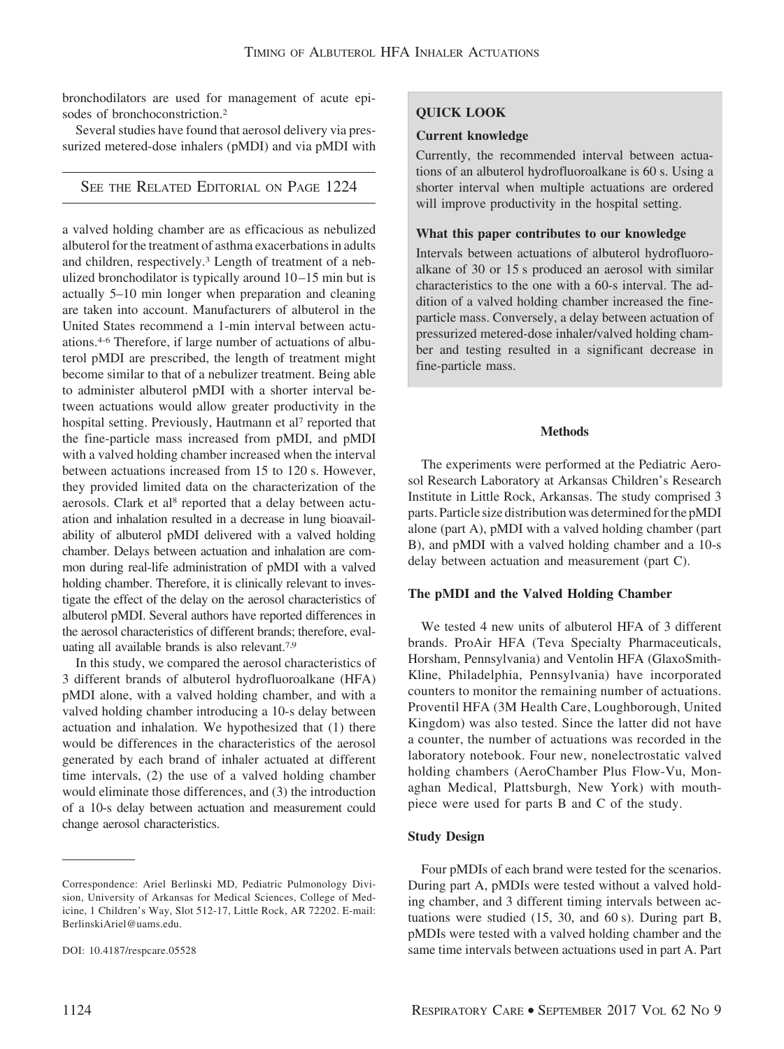bronchodilators are used for management of acute episodes of bronchoconstriction.2

Several studies have found that aerosol delivery via pressurized metered-dose inhalers (pMDI) and via pMDI with

SEE THE RELATED EDITORIAL ON PAGE 1224

a valved holding chamber are as efficacious as nebulized albuterol for the treatment of asthma exacerbations in adults and children, respectively.3 Length of treatment of a nebulized bronchodilator is typically around 10 –15 min but is actually 5–10 min longer when preparation and cleaning are taken into account. Manufacturers of albuterol in the United States recommend a 1-min interval between actuations.4-6 Therefore, if large number of actuations of albuterol pMDI are prescribed, the length of treatment might become similar to that of a nebulizer treatment. Being able to administer albuterol pMDI with a shorter interval between actuations would allow greater productivity in the hospital setting. Previously, Hautmann et al<sup>7</sup> reported that the fine-particle mass increased from pMDI, and pMDI with a valved holding chamber increased when the interval between actuations increased from 15 to 120 s. However, they provided limited data on the characterization of the aerosols. Clark et al<sup>8</sup> reported that a delay between actuation and inhalation resulted in a decrease in lung bioavailability of albuterol pMDI delivered with a valved holding chamber. Delays between actuation and inhalation are common during real-life administration of pMDI with a valved holding chamber. Therefore, it is clinically relevant to investigate the effect of the delay on the aerosol characteristics of albuterol pMDI. Several authors have reported differences in the aerosol characteristics of different brands; therefore, evaluating all available brands is also relevant.7,9

In this study, we compared the aerosol characteristics of 3 different brands of albuterol hydrofluoroalkane (HFA) pMDI alone, with a valved holding chamber, and with a valved holding chamber introducing a 10-s delay between actuation and inhalation. We hypothesized that (1) there would be differences in the characteristics of the aerosol generated by each brand of inhaler actuated at different time intervals, (2) the use of a valved holding chamber would eliminate those differences, and (3) the introduction of a 10-s delay between actuation and measurement could change aerosol characteristics.

# **QUICK LOOK**

## **Current knowledge**

Currently, the recommended interval between actuations of an albuterol hydrofluoroalkane is 60 s. Using a shorter interval when multiple actuations are ordered will improve productivity in the hospital setting.

## **What this paper contributes to our knowledge**

Intervals between actuations of albuterol hydrofluoroalkane of 30 or 15 s produced an aerosol with similar characteristics to the one with a 60-s interval. The addition of a valved holding chamber increased the fineparticle mass. Conversely, a delay between actuation of pressurized metered-dose inhaler/valved holding chamber and testing resulted in a significant decrease in fine-particle mass.

# **Methods**

The experiments were performed at the Pediatric Aerosol Research Laboratory at Arkansas Children's Research Institute in Little Rock, Arkansas. The study comprised 3 parts. Particle size distribution was determined forthe pMDI alone (part A), pMDI with a valved holding chamber (part B), and pMDI with a valved holding chamber and a 10-s delay between actuation and measurement (part C).

# **The pMDI and the Valved Holding Chamber**

We tested 4 new units of albuterol HFA of 3 different brands. ProAir HFA (Teva Specialty Pharmaceuticals, Horsham, Pennsylvania) and Ventolin HFA (GlaxoSmith-Kline, Philadelphia, Pennsylvania) have incorporated counters to monitor the remaining number of actuations. Proventil HFA (3M Health Care, Loughborough, United Kingdom) was also tested. Since the latter did not have a counter, the number of actuations was recorded in the laboratory notebook. Four new, nonelectrostatic valved holding chambers (AeroChamber Plus Flow-Vu, Monaghan Medical, Plattsburgh, New York) with mouthpiece were used for parts B and C of the study.

# **Study Design**

Four pMDIs of each brand were tested for the scenarios. During part A, pMDIs were tested without a valved holding chamber, and 3 different timing intervals between actuations were studied (15, 30, and 60 s). During part B, pMDIs were tested with a valved holding chamber and the same time intervals between actuations used in part A. Part

Correspondence: Ariel Berlinski MD, Pediatric Pulmonology Division, University of Arkansas for Medical Sciences, College of Medicine, 1 Children's Way, Slot 512-17, Little Rock, AR 72202. E-mail: BerlinskiAriel@uams.edu.

DOI: 10.4187/respcare.05528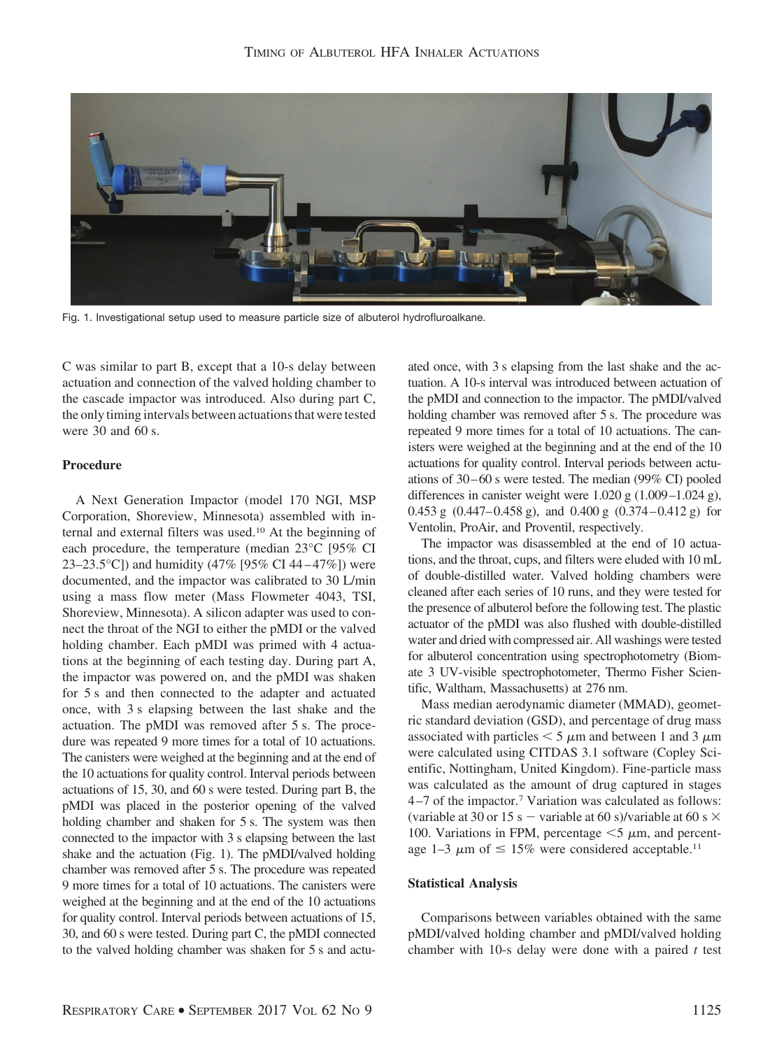

Fig. 1. Investigational setup used to measure particle size of albuterol hydrofluroalkane.

C was similar to part B, except that a 10-s delay between actuation and connection of the valved holding chamber to the cascade impactor was introduced. Also during part C, the only timing intervals between actuations that were tested were 30 and 60 s.

# **Procedure**

A Next Generation Impactor (model 170 NGI, MSP Corporation, Shoreview, Minnesota) assembled with internal and external filters was used.10 At the beginning of each procedure, the temperature (median 23°C [95% CI 23–23.5°C]) and humidity (47% [95% CI 44–47%]) were documented, and the impactor was calibrated to 30 L/min using a mass flow meter (Mass Flowmeter 4043, TSI, Shoreview, Minnesota). A silicon adapter was used to connect the throat of the NGI to either the pMDI or the valved holding chamber. Each pMDI was primed with 4 actuations at the beginning of each testing day. During part A, the impactor was powered on, and the pMDI was shaken for 5 s and then connected to the adapter and actuated once, with 3 s elapsing between the last shake and the actuation. The pMDI was removed after 5 s. The procedure was repeated 9 more times for a total of 10 actuations. The canisters were weighed at the beginning and at the end of the 10 actuations for quality control. Interval periods between actuations of 15, 30, and 60 s were tested. During part B, the pMDI was placed in the posterior opening of the valved holding chamber and shaken for 5 s. The system was then connected to the impactor with 3 s elapsing between the last shake and the actuation (Fig. 1). The pMDI/valved holding chamber was removed after 5 s. The procedure was repeated 9 more times for a total of 10 actuations. The canisters were weighed at the beginning and at the end of the 10 actuations for quality control. Interval periods between actuations of 15, 30, and 60 s were tested. During part C, the pMDI connected to the valved holding chamber was shaken for 5 s and actuated once, with 3 s elapsing from the last shake and the actuation. A 10-s interval was introduced between actuation of the pMDI and connection to the impactor. The pMDI/valved holding chamber was removed after 5 s. The procedure was repeated 9 more times for a total of 10 actuations. The canisters were weighed at the beginning and at the end of the 10 actuations for quality control. Interval periods between actuations of 30 – 60 s were tested. The median (99% CI) pooled differences in canister weight were 1.020 g (1.009–1.024 g), 0.453 g  $(0.447-0.458 \text{ g})$ , and 0.400 g  $(0.374-0.412 \text{ g})$  for Ventolin, ProAir, and Proventil, respectively.

The impactor was disassembled at the end of 10 actuations, and the throat, cups, and filters were eluded with 10 mL of double-distilled water. Valved holding chambers were cleaned after each series of 10 runs, and they were tested for the presence of albuterol before the following test. The plastic actuator of the pMDI was also flushed with double-distilled water and dried with compressed air. All washings were tested for albuterol concentration using spectrophotometry (Biomate 3 UV-visible spectrophotometer, Thermo Fisher Scientific, Waltham, Massachusetts) at 276 nm.

Mass median aerodynamic diameter (MMAD), geometric standard deviation (GSD), and percentage of drug mass associated with particles  $\leq 5 \mu$ m and between 1 and 3  $\mu$ m were calculated using CITDAS 3.1 software (Copley Scientific, Nottingham, United Kingdom). Fine-particle mass was calculated as the amount of drug captured in stages 4 –7 of the impactor.7 Variation was calculated as follows: (variable at 30 or 15 s – variable at 60 s)/variable at 60 s  $\times$ 100. Variations in FPM, percentage  $\leq$  5  $\mu$ m, and percentage 1–3  $\mu$ m of  $\leq 15\%$  were considered acceptable.<sup>11</sup>

#### **Statistical Analysis**

Comparisons between variables obtained with the same pMDI/valved holding chamber and pMDI/valved holding chamber with 10-s delay were done with a paired *t* test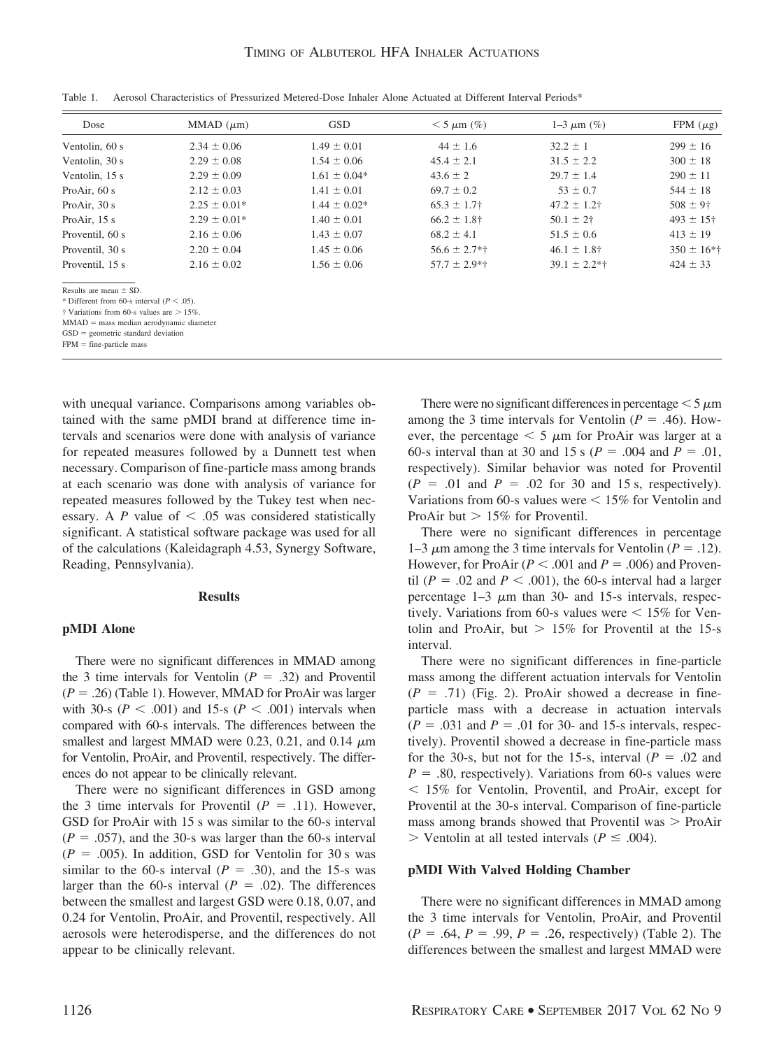| Dose                                                                                                                                                                             | MMAD $(\mu m)$   | <b>GSD</b>       | $< 5 \mu m$ (%)   | $1 - 3 \mu m$ (%) | FPM $(\mu$ g)   |
|----------------------------------------------------------------------------------------------------------------------------------------------------------------------------------|------------------|------------------|-------------------|-------------------|-----------------|
| Ventolin, 60 s                                                                                                                                                                   | $2.34 \pm 0.06$  | $1.49 \pm 0.01$  | $44 \pm 1.6$      | $32.2 \pm 1$      | $299 \pm 16$    |
| Ventolin, 30 s                                                                                                                                                                   | $2.29 \pm 0.08$  | $1.54 \pm 0.06$  | $45.4 \pm 2.1$    | $31.5 \pm 2.2$    | $300 \pm 18$    |
| Ventolin, 15 s                                                                                                                                                                   | $2.29 \pm 0.09$  | $1.61 \pm 0.04*$ | $43.6 \pm 2$      | $29.7 \pm 1.4$    | $290 \pm 11$    |
| Pro $Air.60 s$                                                                                                                                                                   | $2.12 \pm 0.03$  | $1.41 \pm 0.01$  | $69.7 \pm 0.2$    | $53 \pm 0.7$      | $544 \pm 18$    |
| Pro $Air$ , 30 s                                                                                                                                                                 | $2.25 \pm 0.01*$ | $1.44 \pm 0.02*$ | $65.3 \pm 1.7$    | $47.2 \pm 1.2$ †  | $508 \pm 9$ †   |
| Pro $Air$ , 15 s                                                                                                                                                                 | $2.29 \pm 0.01*$ | $1.40 \pm 0.01$  | $66.2 \pm 1.8$ †  | $50.1 \pm 2^+$    | $493 \pm 15$ †  |
| Proventil, 60 s                                                                                                                                                                  | $2.16 \pm 0.06$  | $1.43 \pm 0.07$  | $68.2 \pm 4.1$    | $51.5 \pm 0.6$    | $413 \pm 19$    |
| Proventil, 30 s                                                                                                                                                                  | $2.20 \pm 0.04$  | $1.45 \pm 0.06$  | $56.6 \pm 2.7$ *† | $46.1 \pm 1.8$ †  | $350 \pm 16$ *† |
| Proventil, 15 s                                                                                                                                                                  | $2.16 \pm 0.02$  | $1.56 \pm 0.06$  | $57.7 \pm 2.9**$  | $39.1 \pm 2.2**$  | $424 \pm 33$    |
| Results are mean $\pm$ SD.<br>* Different from 60-s interval ( $P < .05$ ).<br>$\dagger$ Variations from 60-s values are $> 15\%$ .<br>$MMAD$ = mass median aerodynamic diameter |                  |                  |                   |                   |                 |

Table 1. Aerosol Characteristics of Pressurized Metered-Dose Inhaler Alone Actuated at Different Interval Periods\*

 $GSD =$  geometric standard deviation

 $FPM =$  fine-particle mass

with unequal variance. Comparisons among variables obtained with the same pMDI brand at difference time intervals and scenarios were done with analysis of variance for repeated measures followed by a Dunnett test when necessary. Comparison of fine-particle mass among brands at each scenario was done with analysis of variance for repeated measures followed by the Tukey test when necessary. A  $P$  value of  $\leq .05$  was considered statistically significant. A statistical software package was used for all of the calculations (Kaleidagraph 4.53, Synergy Software, Reading, Pennsylvania).

#### **Results**

## **pMDI Alone**

There were no significant differences in MMAD among the 3 time intervals for Ventolin  $(P = .32)$  and Proventil  $(P = .26)$  (Table 1). However, MMAD for ProAir was larger with 30-s ( $P < .001$ ) and 15-s ( $P < .001$ ) intervals when compared with 60-s intervals. The differences between the smallest and largest MMAD were 0.23, 0.21, and 0.14  $\mu$ m for Ventolin, ProAir, and Proventil, respectively. The differences do not appear to be clinically relevant.

There were no significant differences in GSD among the 3 time intervals for Proventil  $(P = .11)$ . However, GSD for ProAir with 15 s was similar to the 60-s interval  $(P = .057)$ , and the 30-s was larger than the 60-s interval  $(P = .005)$ . In addition, GSD for Ventolin for 30 s was similar to the 60-s interval  $(P = .30)$ , and the 15-s was larger than the 60-s interval ( $P = .02$ ). The differences between the smallest and largest GSD were 0.18, 0.07, and 0.24 for Ventolin, ProAir, and Proventil, respectively. All aerosols were heterodisperse, and the differences do not appear to be clinically relevant.

There were no significant differences in percentage  $\leq 5 \,\mu m$ among the 3 time intervals for Ventolin ( $P = .46$ ). However, the percentage  $\leq 5 \mu m$  for ProAir was larger at a 60-s interval than at 30 and 15 s ( $P = .004$  and  $P = .01$ , respectively). Similar behavior was noted for Proventil  $(P = .01$  and  $P = .02$  for 30 and 15 s, respectively). Variations from 60-s values were  $\leq 15\%$  for Ventolin and ProAir but  $> 15\%$  for Proventil.

There were no significant differences in percentage 1–3  $\mu$ m among the 3 time intervals for Ventolin ( $P = .12$ ). However, for ProAir  $(P < .001$  and  $P = .006$ ) and Proventil ( $P = .02$  and  $P < .001$ ), the 60-s interval had a larger percentage  $1-3 \mu m$  than 30- and 15-s intervals, respectively. Variations from 60-s values were  $\leq 15\%$  for Ventolin and ProAir, but  $> 15\%$  for Proventil at the 15-s interval.

There were no significant differences in fine-particle mass among the different actuation intervals for Ventolin  $(P = .71)$  (Fig. 2). ProAir showed a decrease in fineparticle mass with a decrease in actuation intervals  $(P = .031$  and  $P = .01$  for 30- and 15-s intervals, respectively). Proventil showed a decrease in fine-particle mass for the 30-s, but not for the 15-s, interval  $(P = .02$  and  $P = .80$ , respectively). Variations from 60-s values were - 15% for Ventolin, Proventil, and ProAir, except for Proventil at the 30-s interval. Comparison of fine-particle mass among brands showed that Proventil was  $>$  ProAir  $>$  Ventolin at all tested intervals ( $P \leq .004$ ).

#### **pMDI With Valved Holding Chamber**

There were no significant differences in MMAD among the 3 time intervals for Ventolin, ProAir, and Proventil  $(P = .64, P = .99, P = .26$ , respectively) (Table 2). The differences between the smallest and largest MMAD were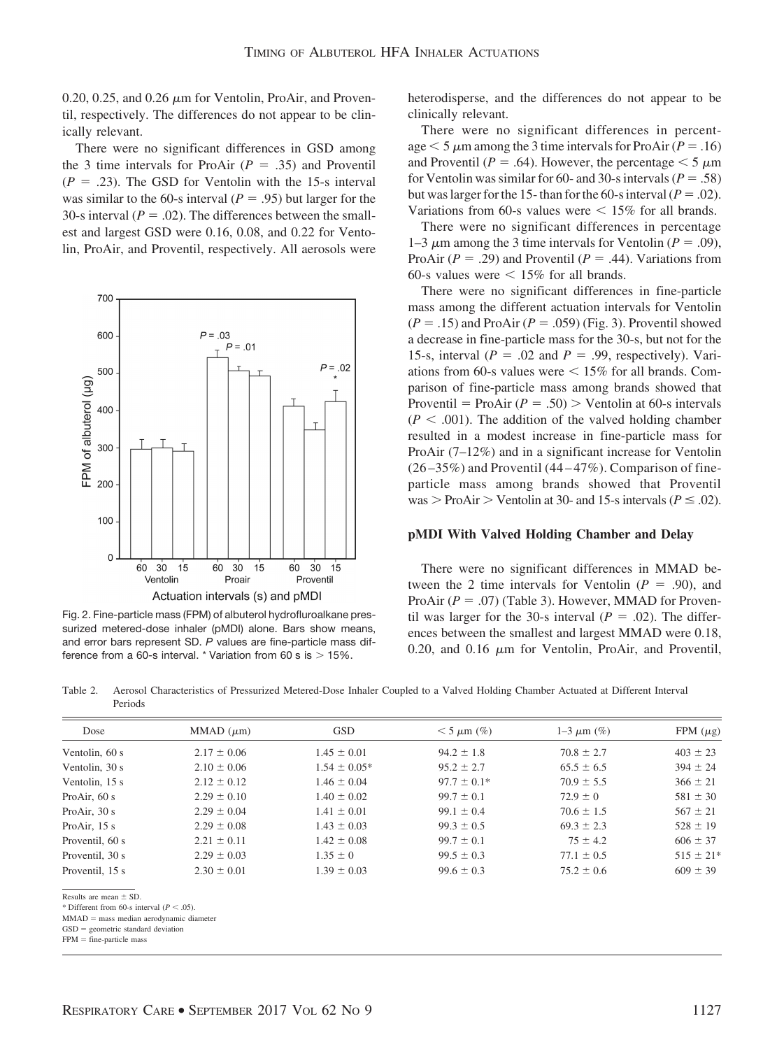$0.20, 0.25,$  and  $0.26 \mu m$  for Ventolin, ProAir, and Proventil, respectively. The differences do not appear to be clinically relevant.

There were no significant differences in GSD among the 3 time intervals for ProAir  $(P = .35)$  and Proventil  $(P = .23)$ . The GSD for Ventolin with the 15-s interval was similar to the 60-s interval  $(P = .95)$  but larger for the 30-s interval  $(P = .02)$ . The differences between the smallest and largest GSD were 0.16, 0.08, and 0.22 for Ventolin, ProAir, and Proventil, respectively. All aerosols were



Fig. 2. Fine-particle mass (FPM) of albuterol hydrofluroalkane pressurized metered-dose inhaler (pMDI) alone. Bars show means, and error bars represent SD. *P* values are fine-particle mass difference from a 60-s interval.  $*$  Variation from 60 s is  $> 15\%$ .

heterodisperse, and the differences do not appear to be clinically relevant.

There were no significant differences in percentage  $<$  5  $\mu$ m among the 3 time intervals for ProAir (*P* = .16) and Proventil ( $P = .64$ ). However, the percentage  $\leq 5 \mu m$ for Ventolin was similar for 60- and 30-s intervals ( $P = .58$ ) but was larger for the 15- than for the 60-s interval ( $P = .02$ ). Variations from 60-s values were  $\leq 15\%$  for all brands.

There were no significant differences in percentage 1–3  $\mu$ m among the 3 time intervals for Ventolin ( $P = .09$ ), ProAir  $(P = .29)$  and Proventil  $(P = .44)$ . Variations from 60-s values were  $\leq 15\%$  for all brands.

There were no significant differences in fine-particle mass among the different actuation intervals for Ventolin  $(P = .15)$  and ProAir  $(P = .059)$  (Fig. 3). Proventil showed a decrease in fine-particle mass for the 30-s, but not for the 15-s, interval ( $P = .02$  and  $P = .99$ , respectively). Variations from 60-s values were  $\leq 15\%$  for all brands. Comparison of fine-particle mass among brands showed that Proventil = ProAir  $(P = .50)$  > Ventolin at 60-s intervals  $(P < .001)$ . The addition of the valved holding chamber resulted in a modest increase in fine-particle mass for ProAir (7–12%) and in a significant increase for Ventolin  $(26 - 35\%)$  and Proventil  $(44 - 47\%)$ . Comparison of fineparticle mass among brands showed that Proventil  $was >$  ProAir  $>$  Ventolin at 30- and 15-s intervals ( $P \leq .02$ ).

#### **pMDI With Valved Holding Chamber and Delay**

There were no significant differences in MMAD between the 2 time intervals for Ventolin  $(P = .90)$ , and ProAir  $(P = .07)$  (Table 3). However, MMAD for Proventil was larger for the 30-s interval  $(P = .02)$ . The differences between the smallest and largest MMAD were 0.18, 0.20, and 0.16  $\mu$ m for Ventolin, ProAir, and Proventil,

Table 2. Aerosol Characteristics of Pressurized Metered-Dose Inhaler Coupled to a Valved Holding Chamber Actuated at Different Interval Periods

| Dose                                          | MMAD $(\mu m)$  | <b>GSD</b>       | $<$ 5 $\mu$ m (%) | $1 - 3 \mu m$ (%) | FPM $(\mu$ g) |
|-----------------------------------------------|-----------------|------------------|-------------------|-------------------|---------------|
| Ventolin, 60 s                                | $2.17 \pm 0.06$ | $1.45 \pm 0.01$  | $94.2 \pm 1.8$    | $70.8 \pm 2.7$    | $403 \pm 23$  |
| Ventolin, 30 s                                | $2.10 \pm 0.06$ | $1.54 \pm 0.05*$ | $95.2 \pm 2.7$    | $65.5 \pm 6.5$    | $394 \pm 24$  |
| Ventolin, 15 s                                | $2.12 \pm 0.12$ | $1.46 \pm 0.04$  | $97.7 \pm 0.1*$   | $70.9 \pm 5.5$    | $366 \pm 21$  |
| Pro $Air, 60 s$                               | $2.29 \pm 0.10$ | $1.40 \pm 0.02$  | $99.7 \pm 0.1$    | $72.9 \pm 0$      | $581 \pm 30$  |
| Pro $Air$ , 30 s                              | $2.29 \pm 0.04$ | $1.41 \pm 0.01$  | $99.1 \pm 0.4$    | $70.6 \pm 1.5$    | $567 \pm 21$  |
| Pro $Air$ , 15 s                              | $2.29 \pm 0.08$ | $1.43 \pm 0.03$  | $99.3 \pm 0.5$    | $69.3 \pm 2.3$    | $528 \pm 19$  |
| Proventil, 60 s                               | $2.21 \pm 0.11$ | $1.42 \pm 0.08$  | $99.7 \pm 0.1$    | $75 \pm 4.2$      | $606 \pm 37$  |
| Proventil, 30 s                               | $2.29 \pm 0.03$ | $1.35 \pm 0$     | $99.5 \pm 0.3$    | $77.1 \pm 0.5$    | $515 \pm 21*$ |
| Proventil, 15 s                               | $2.30 \pm 0.01$ | $1.39 \pm 0.03$  | $99.6 \pm 0.3$    | $75.2 \pm 0.6$    | $609 \pm 39$  |
| Results are mean $\pm$ SD.                    |                 |                  |                   |                   |               |
| * Different from 60-s interval ( $P < .05$ ). |                 |                  |                   |                   |               |
| $M MAD$ = mass median aerodynamic diameter    |                 |                  |                   |                   |               |

 $FPM = fine-particle mass$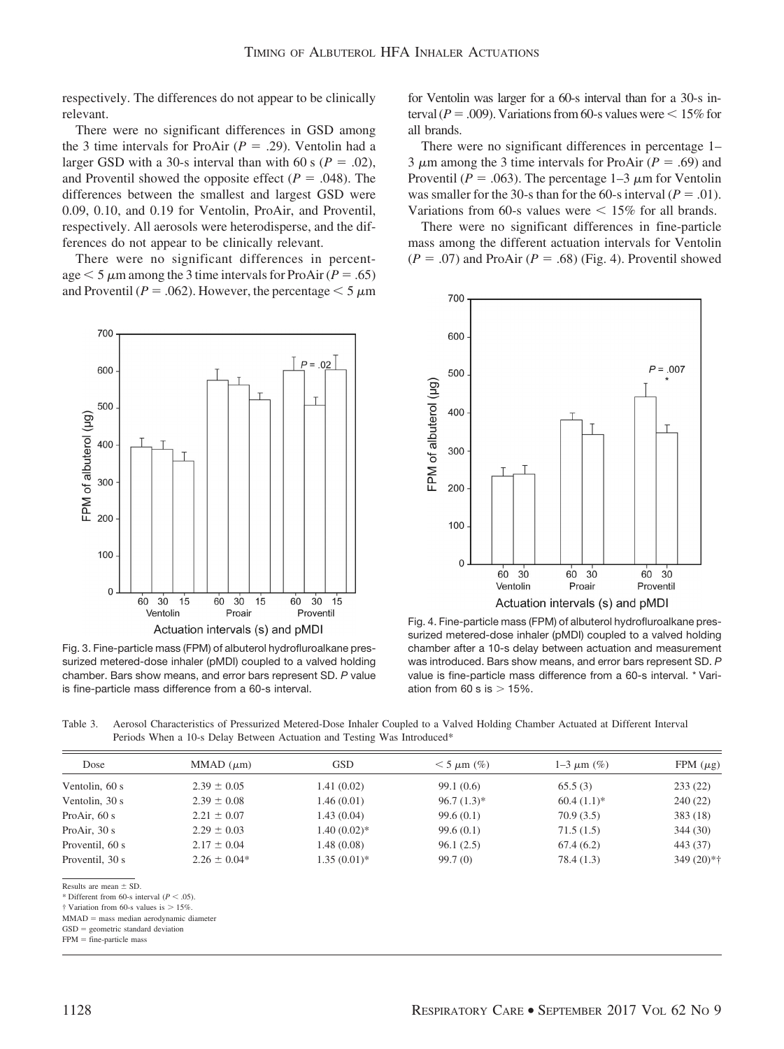respectively. The differences do not appear to be clinically relevant.

There were no significant differences in GSD among the 3 time intervals for ProAir  $(P = .29)$ . Ventolin had a larger GSD with a 30-s interval than with 60 s ( $P = .02$ ), and Proventil showed the opposite effect  $(P = .048)$ . The differences between the smallest and largest GSD were 0.09, 0.10, and 0.19 for Ventolin, ProAir, and Proventil, respectively. All aerosols were heterodisperse, and the differences do not appear to be clinically relevant.

There were no significant differences in percentage  $<$  5  $\mu$ m among the 3 time intervals for ProAir (*P* = .65) and Proventil ( $P = .062$ ). However, the percentage  $\leq 5 \mu m$ 



Fig. 3. Fine-particle mass (FPM) of albuterol hydrofluroalkane pressurized metered-dose inhaler (pMDI) coupled to a valved holding chamber. Bars show means, and error bars represent SD. *P* value is fine-particle mass difference from a 60-s interval.

for Ventolin was larger for a 60-s interval than for a 30-s interval ( $P = .009$ ). Variations from 60-s values were  $\leq 15\%$  for all brands.

There were no significant differences in percentage 1– 3  $\mu$ m among the 3 time intervals for ProAir ( $P = .69$ ) and Proventil ( $P = .063$ ). The percentage 1–3  $\mu$ m for Ventolin was smaller for the 30-s than for the 60-s interval ( $P = .01$ ). Variations from 60-s values were  $\leq 15\%$  for all brands.

There were no significant differences in fine-particle mass among the different actuation intervals for Ventolin  $(P = .07)$  and ProAir  $(P = .68)$  (Fig. 4). Proventil showed



Fig. 4. Fine-particle mass (FPM) of albuterol hydrofluroalkane pressurized metered-dose inhaler (pMDI) coupled to a valved holding chamber after a 10-s delay between actuation and measurement was introduced. Bars show means, and error bars represent SD. *P* value is fine-particle mass difference from a 60-s interval. \* Variation from 60 s is  $> 15\%$ .

Table 3. Aerosol Characteristics of Pressurized Metered-Dose Inhaler Coupled to a Valved Holding Chamber Actuated at Different Interval Periods When a 10-s Delay Between Actuation and Testing Was Introduced\*

| $MMAD$ ( $\mu$ m) | <b>GSD</b>     | $<$ 5 $\mu$ m (%) | $1 - 3 \mu m$ (%) | FPM $(\mu$ g) |
|-------------------|----------------|-------------------|-------------------|---------------|
| $2.39 \pm 0.05$   | 1.41(0.02)     | 99.1(0.6)         | 65.5(3)           | 233(22)       |
| $2.39 \pm 0.08$   | 1.46(0.01)     | $96.7(1.3)*$      | $60.4(1.1)*$      | 240(22)       |
| $2.21 \pm 0.07$   | 1.43(0.04)     | 99.6(0.1)         | 70.9(3.5)         | 383(18)       |
| $2.29 \pm 0.03$   | $1.40(0.02)*$  | 99.6(0.1)         | 71.5(1.5)         | 344(30)       |
| $2.17 \pm 0.04$   | 1.48(0.08)     | 96.1(2.5)         | 67.4(6.2)         | 443 (37)      |
| $2.26 \pm 0.04*$  | $1.35(0.01)$ * | 99.7(0)           | 78.4 (1.3)        | $349(20)*†$   |
|                   |                |                   |                   |               |

Results are mean  $\pm$  SD.

 $\dagger$  Variation from 60-s values is  $> 15\%$ 

MMAD = mass median aerodynamic diameter

 $GSD =$  geometric standard deviation

 $FPM =$  fine-particle mass

<sup>\*</sup> Different from 60-s interval  $(P < .05)$ .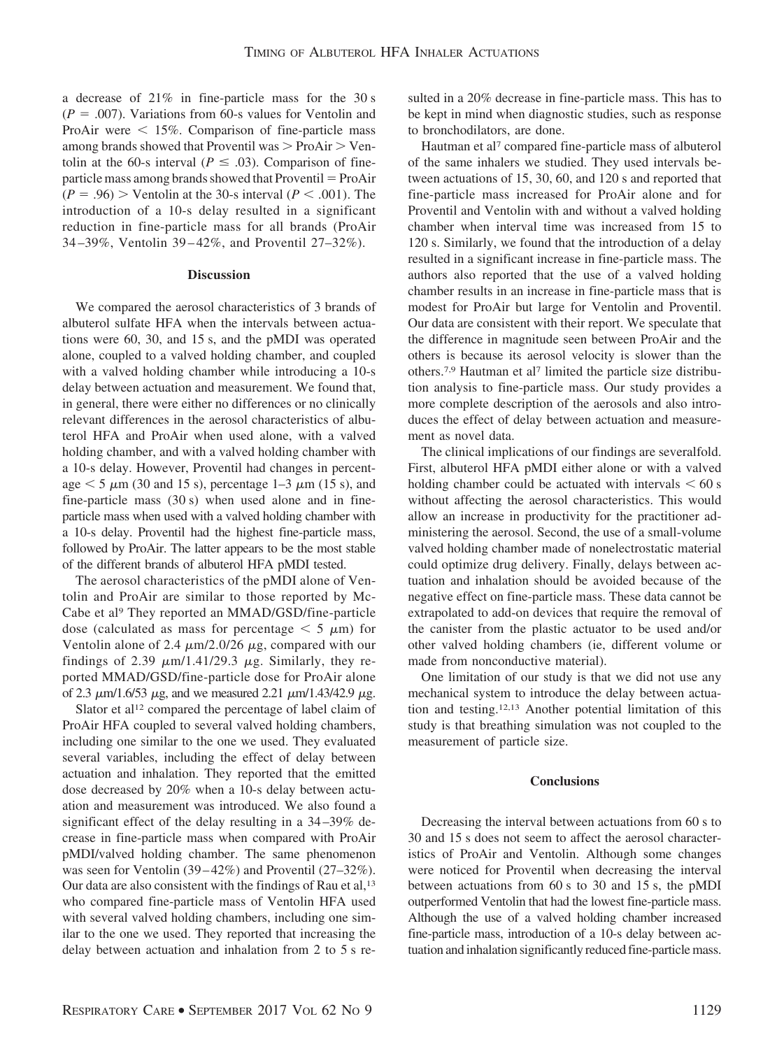a decrease of 21% in fine-particle mass for the 30 s  $(P = .007)$ . Variations from 60-s values for Ventolin and ProAir were  $\leq 15\%$ . Comparison of fine-particle mass among brands showed that Proventil was  $>$  ProAir  $>$  Ventolin at the 60-s interval ( $P \leq .03$ ). Comparison of fineparticle mass among brands showed that  $Proventil = ProAir$  $(P = .96)$  > Ventolin at the 30-s interval  $(P < .001)$ . The introduction of a 10-s delay resulted in a significant reduction in fine-particle mass for all brands (ProAir 34 –39%, Ventolin 39 – 42%, and Proventil 27–32%).

#### **Discussion**

We compared the aerosol characteristics of 3 brands of albuterol sulfate HFA when the intervals between actuations were 60, 30, and 15 s, and the pMDI was operated alone, coupled to a valved holding chamber, and coupled with a valved holding chamber while introducing a 10-s delay between actuation and measurement. We found that, in general, there were either no differences or no clinically relevant differences in the aerosol characteristics of albuterol HFA and ProAir when used alone, with a valved holding chamber, and with a valved holding chamber with a 10-s delay. However, Proventil had changes in percentage  $\leq$  5  $\mu$ m (30 and 15 s), percentage 1–3  $\mu$ m (15 s), and fine-particle mass (30 s) when used alone and in fineparticle mass when used with a valved holding chamber with a 10-s delay. Proventil had the highest fine-particle mass, followed by ProAir. The latter appears to be the most stable of the different brands of albuterol HFA pMDI tested.

The aerosol characteristics of the pMDI alone of Ventolin and ProAir are similar to those reported by Mc-Cabe et al<sup>9</sup> They reported an MMAD/GSD/fine-particle dose (calculated as mass for percentage  $\leq 5 \mu m$ ) for Ventolin alone of 2.4  $\mu$ m/2.0/26  $\mu$ g, compared with our findings of 2.39  $\mu$ m/1.41/29.3  $\mu$ g. Similarly, they reported MMAD/GSD/fine-particle dose for ProAir alone of 2.3  $\mu$ m/1.6/53  $\mu$ g, and we measured 2.21  $\mu$ m/1.43/42.9  $\mu$ g.

Slator et al<sup>12</sup> compared the percentage of label claim of ProAir HFA coupled to several valved holding chambers, including one similar to the one we used. They evaluated several variables, including the effect of delay between actuation and inhalation. They reported that the emitted dose decreased by 20% when a 10-s delay between actuation and measurement was introduced. We also found a significant effect of the delay resulting in a 34 –39% decrease in fine-particle mass when compared with ProAir pMDI/valved holding chamber. The same phenomenon was seen for Ventolin (39–42%) and Proventil (27–32%). Our data are also consistent with the findings of Rau et al,<sup>13</sup> who compared fine-particle mass of Ventolin HFA used with several valved holding chambers, including one similar to the one we used. They reported that increasing the delay between actuation and inhalation from 2 to 5 s resulted in a 20% decrease in fine-particle mass. This has to be kept in mind when diagnostic studies, such as response to bronchodilators, are done.

Hautman et al<sup>7</sup> compared fine-particle mass of albuterol of the same inhalers we studied. They used intervals between actuations of 15, 30, 60, and 120 s and reported that fine-particle mass increased for ProAir alone and for Proventil and Ventolin with and without a valved holding chamber when interval time was increased from 15 to 120 s. Similarly, we found that the introduction of a delay resulted in a significant increase in fine-particle mass. The authors also reported that the use of a valved holding chamber results in an increase in fine-particle mass that is modest for ProAir but large for Ventolin and Proventil. Our data are consistent with their report. We speculate that the difference in magnitude seen between ProAir and the others is because its aerosol velocity is slower than the others.7,9 Hautman et al7 limited the particle size distribution analysis to fine-particle mass. Our study provides a more complete description of the aerosols and also introduces the effect of delay between actuation and measurement as novel data.

The clinical implications of our findings are severalfold. First, albuterol HFA pMDI either alone or with a valved holding chamber could be actuated with intervals  $\leq 60$  s without affecting the aerosol characteristics. This would allow an increase in productivity for the practitioner administering the aerosol. Second, the use of a small-volume valved holding chamber made of nonelectrostatic material could optimize drug delivery. Finally, delays between actuation and inhalation should be avoided because of the negative effect on fine-particle mass. These data cannot be extrapolated to add-on devices that require the removal of the canister from the plastic actuator to be used and/or other valved holding chambers (ie, different volume or made from nonconductive material).

One limitation of our study is that we did not use any mechanical system to introduce the delay between actuation and testing.12,13 Another potential limitation of this study is that breathing simulation was not coupled to the measurement of particle size.

### **Conclusions**

Decreasing the interval between actuations from 60 s to 30 and 15 s does not seem to affect the aerosol characteristics of ProAir and Ventolin. Although some changes were noticed for Proventil when decreasing the interval between actuations from 60 s to 30 and 15 s, the pMDI outperformed Ventolin that had the lowest fine-particle mass. Although the use of a valved holding chamber increased fine-particle mass, introduction of a 10-s delay between actuation and inhalation significantly reduced fine-particle mass.